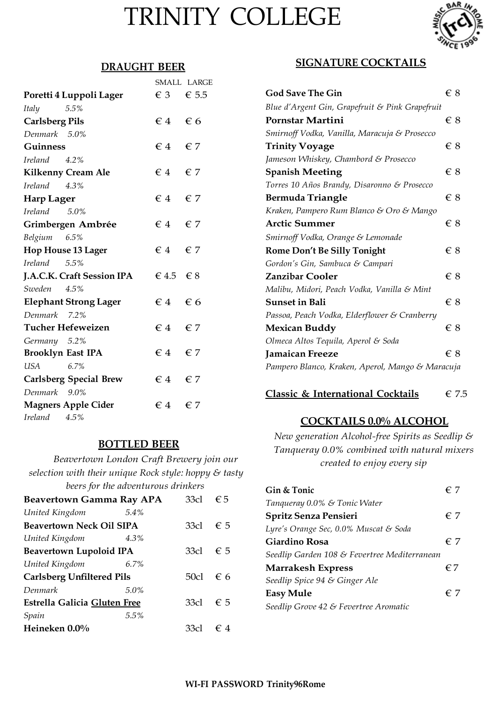# TRINITY COLLEGE



#### **DRAUGHT BEER**

|                                      |                             | SMALL LARGE |
|--------------------------------------|-----------------------------|-------------|
| Poretti 4 Luppoli Lager              | $\epsilon$ 3 $\epsilon$ 5.5 |             |
| 5.5%<br><i>Italy</i>                 |                             |             |
| <b>Carlsberg Pils</b>                | $\epsilon$ 4 $\epsilon$ 6   |             |
| Denmark 5.0%                         |                             |             |
| <b>Guinness</b>                      | $\epsilon$ 4 $\epsilon$ 7   |             |
| Ireland<br>$4.2\%$                   |                             |             |
| Kilkenny Cream Ale                   | $\epsilon$ 4 $\epsilon$ 7   |             |
| Ireland 4.3%                         |                             |             |
| <b>Harp Lager</b>                    | $\epsilon$ 4 $\epsilon$ 7   |             |
| Ireland<br>5.0%                      |                             |             |
| Grimbergen Ambrée                    | $\epsilon$ 4 $\epsilon$ 7   |             |
| Belgium 6.5%                         |                             |             |
| <b>Hop House 13 Lager</b>            | $\epsilon$ 4 $\epsilon$ 7   |             |
| <i><u><b>Ireland</b></u></i><br>5.5% |                             |             |
| J.A.C.K. Craft Session IPA           | $\in$ 4.5 $\in$ 8           |             |
| 4.5%<br>Sweden                       |                             |             |
| <b>Elephant Strong Lager</b>         | $\epsilon$ 4 $\epsilon$ 6   |             |
| Denmark 7.2%                         |                             |             |
| Tucher Hefeweizen                    | $\epsilon$ 4 $\epsilon$ 7   |             |
| Germany 5.2%                         |                             |             |
| <b>Brooklyn East IPA</b>             | $\epsilon$ 4 $\epsilon$ 7   |             |
| 6.7%<br>USA                          |                             |             |
| <b>Carlsberg Special Brew</b>        | $\epsilon$ 4 $\epsilon$ 7   |             |
| Denmark 9.0%                         |                             |             |
| <b>Magners Apple Cider</b>           | $\epsilon$ 4 $\epsilon$ 7   |             |
| Ireland 4.5%                         |                             |             |

#### **BOTTLED BEER**

*Beavertown London Craft Brewery join our selection with their unique Rock style: hoppy & tasty beers for the adventurous drinkers* 

| <b>Beavertown Gamma Ray APA</b>  |      | 33c1              | €5           |
|----------------------------------|------|-------------------|--------------|
| United Kingdom                   | 5.4% |                   |              |
| <b>Beavertown Neck Oil SIPA</b>  |      | 33cl              | $\epsilon$ 5 |
| United Kingdom                   | 4.3% |                   |              |
| Beavertown Lupoloid IPA          |      | 33cl              | $\epsilon$ 5 |
| United Kingdom                   | 6.7% |                   |              |
| <b>Carlsberg Unfiltered Pils</b> |      | 50cl $\epsilon$ 6 |              |
| Denmark                          | 5.0% |                   |              |
| Estrella Galicia Gluten Free     |      | 33cl              | $\epsilon$ 5 |
| Spain                            | 5.5% |                   |              |
| Heineken 0.0%                    |      | 33cl              | €4           |

### **SIGNATURE COCKTAILS**

| <b>God Save The Gin</b>                          | $\in 8$ |
|--------------------------------------------------|---------|
| Blue d'Argent Gin, Grapefruit & Pink Grapefruit  |         |
| Pornstar Martini                                 | $\in 8$ |
| Smirnoff Vodka, Vanilla, Maracuja & Prosecco     |         |
| <b>Trinity Voyage</b>                            | $\in 8$ |
| Jameson Whiskey, Chambord & Prosecco             |         |
| <b>Spanish Meeting</b>                           | € 8     |
| Torres 10 Años Brandy, Disaronno & Prosecco      |         |
| <b>Bermuda Triangle</b>                          | € 8     |
| Kraken, Pampero Rum Blanco & Oro & Mango         |         |
| <b>Arctic Summer</b>                             | $\in$ 8 |
| Smirnoff Vodka, Orange & Lemonade                |         |
| <b>Rome Don't Be Silly Tonight</b>               | € 8     |
| Gordon's Gin, Sambuca & Campari                  |         |
| <b>Zanzibar Cooler</b>                           | € 8     |
| Malibu, Midori, Peach Vodka, Vanilla & Mint      |         |
| <b>Sunset in Bali</b>                            | € 8     |
| Passoa, Peach Vodka, Elderflower & Cranberry     |         |
| Mexican Buddy                                    | € 8     |
| Olmeca Altos Tequila, Aperol & Soda              |         |
| <b>Jamaican Freeze</b>                           | € 8     |
| Pampero Blanco, Kraken, Aperol, Mango & Maracuja |         |

**Classic & International Cocktails** € 7.5

# **COCKTAILS 0.0% ALCOHOL**

*New generation Alcohol-free Spirits as Seedlip & Tanqueray 0.0% combined with natural mixers created to enjoy every sip*

| Gin & Tonic                                  | € 7          |
|----------------------------------------------|--------------|
| Tanqueray 0.0% & Tonic Water                 |              |
| Spritz Senza Pensieri                        | $\epsilon$ 7 |
| Lyre's Orange Sec, 0.0% Muscat & Soda        |              |
| Giardino Rosa                                | € 7          |
| Seedlip Garden 108 & Fevertree Mediterranean |              |
| <b>Marrakesh Express</b>                     | $\epsilon$ 7 |
| Seedlip Spice 94 & Ginger Ale                |              |
| <b>Easy Mule</b>                             | € 7          |
| Seedlip Grove 42 & Fevertree Aromatic        |              |